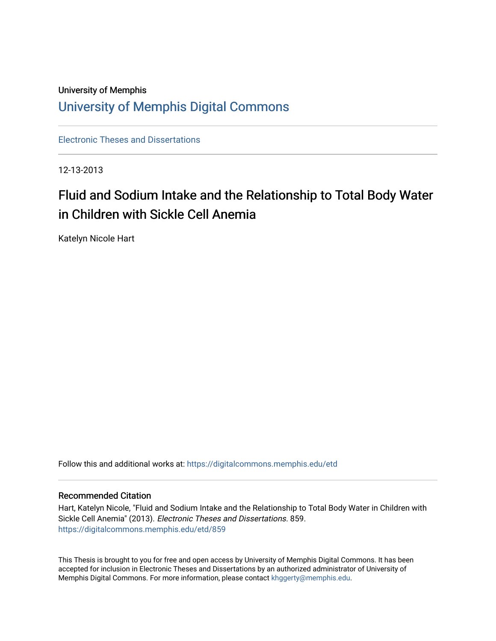# University of Memphis [University of Memphis Digital Commons](https://digitalcommons.memphis.edu/)

[Electronic Theses and Dissertations](https://digitalcommons.memphis.edu/etd)

12-13-2013

# Fluid and Sodium Intake and the Relationship to Total Body Water in Children with Sickle Cell Anemia

Katelyn Nicole Hart

Follow this and additional works at: [https://digitalcommons.memphis.edu/etd](https://digitalcommons.memphis.edu/etd?utm_source=digitalcommons.memphis.edu%2Fetd%2F859&utm_medium=PDF&utm_campaign=PDFCoverPages) 

#### Recommended Citation

Hart, Katelyn Nicole, "Fluid and Sodium Intake and the Relationship to Total Body Water in Children with Sickle Cell Anemia" (2013). Electronic Theses and Dissertations. 859. [https://digitalcommons.memphis.edu/etd/859](https://digitalcommons.memphis.edu/etd/859?utm_source=digitalcommons.memphis.edu%2Fetd%2F859&utm_medium=PDF&utm_campaign=PDFCoverPages) 

This Thesis is brought to you for free and open access by University of Memphis Digital Commons. It has been accepted for inclusion in Electronic Theses and Dissertations by an authorized administrator of University of Memphis Digital Commons. For more information, please contact [khggerty@memphis.edu.](mailto:khggerty@memphis.edu)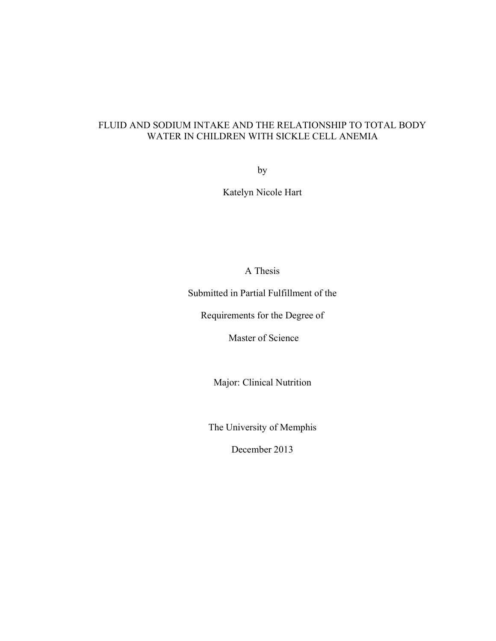# FLUID AND SODIUM INTAKE AND THE RELATIONSHIP TO TOTAL BODY WATER IN CHILDREN WITH SICKLE CELL ANEMIA

by

Katelyn Nicole Hart

A Thesis

Submitted in Partial Fulfillment of the

Requirements for the Degree of

Master of Science

Major: Clinical Nutrition

The University of Memphis

December 2013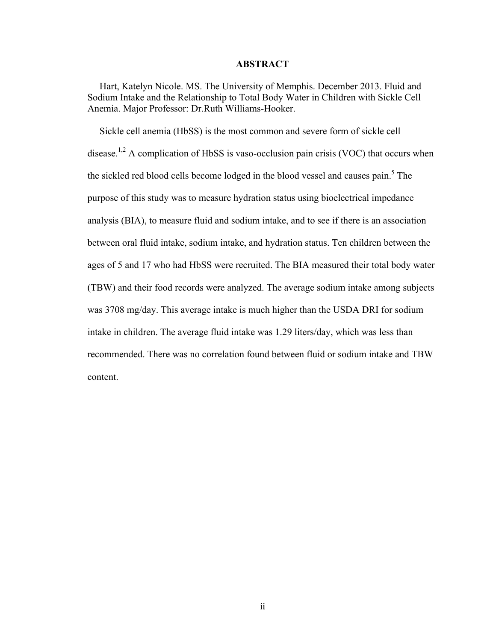#### **ABSTRACT**

 Hart, Katelyn Nicole. MS. The University of Memphis. December 2013. Fluid and Sodium Intake and the Relationship to Total Body Water in Children with Sickle Cell Anemia. Major Professor: Dr.Ruth Williams-Hooker.

Sickle cell anemia (HbSS) is the most common and severe form of sickle cell disease.<sup>1,2</sup> A complication of HbSS is vaso-occlusion pain crisis (VOC) that occurs when the sickled red blood cells become lodged in the blood vessel and causes pain.<sup>5</sup> The purpose of this study was to measure hydration status using bioelectrical impedance analysis (BIA), to measure fluid and sodium intake, and to see if there is an association between oral fluid intake, sodium intake, and hydration status. Ten children between the ages of 5 and 17 who had HbSS were recruited. The BIA measured their total body water (TBW) and their food records were analyzed. The average sodium intake among subjects was 3708 mg/day. This average intake is much higher than the USDA DRI for sodium intake in children. The average fluid intake was 1.29 liters/day, which was less than recommended. There was no correlation found between fluid or sodium intake and TBW content.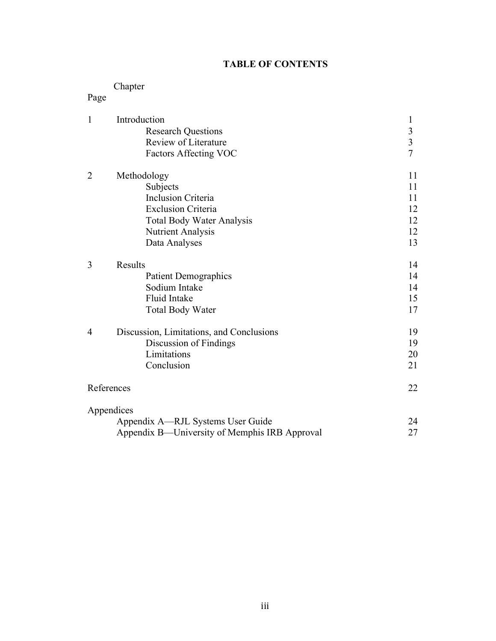# **TABLE OF CONTENTS**

# Chapter

# Page

| $\mathbf{1}$   | Introduction                                  | $\mathbf{1}$   |
|----------------|-----------------------------------------------|----------------|
|                | <b>Research Questions</b>                     |                |
|                | Review of Literature                          | $\frac{3}{3}$  |
|                | <b>Factors Affecting VOC</b>                  | $\overline{7}$ |
| $\overline{2}$ | Methodology                                   | 11             |
|                | Subjects                                      | 11             |
|                | <b>Inclusion Criteria</b>                     | 11             |
|                | <b>Exclusion Criteria</b>                     | 12             |
|                | <b>Total Body Water Analysis</b>              | 12             |
|                | <b>Nutrient Analysis</b>                      | 12             |
|                | Data Analyses                                 | 13             |
| 3              | <b>Results</b>                                | 14             |
|                | <b>Patient Demographics</b>                   | 14             |
|                | Sodium Intake                                 | 14             |
|                | <b>Fluid Intake</b>                           | 15             |
|                | <b>Total Body Water</b>                       | 17             |
| $\overline{4}$ | Discussion, Limitations, and Conclusions      | 19             |
|                | Discussion of Findings                        | 19             |
|                | Limitations                                   | 20             |
|                | Conclusion                                    | 21             |
|                | References                                    | 22             |
|                | Appendices                                    |                |
|                | Appendix A—RJL Systems User Guide             | 24             |
|                | Appendix B—University of Memphis IRB Approval | 27             |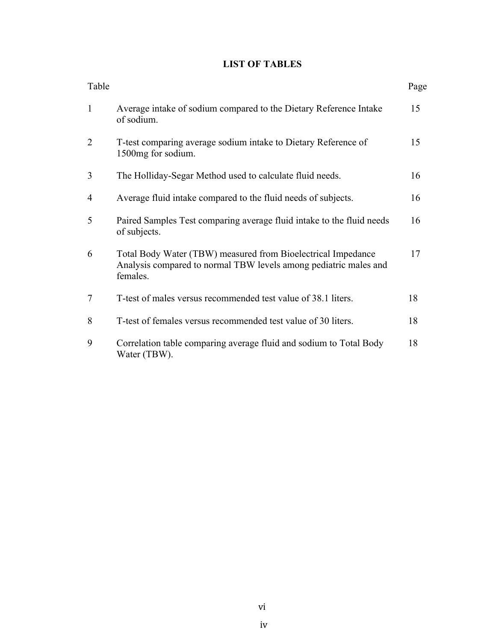# **LIST OF TABLES**

| Table          |                                                                                                                                              | Page |
|----------------|----------------------------------------------------------------------------------------------------------------------------------------------|------|
| $\mathbf{1}$   | Average intake of sodium compared to the Dietary Reference Intake<br>of sodium.                                                              | 15   |
| $\overline{2}$ | T-test comparing average sodium intake to Dietary Reference of<br>1500mg for sodium.                                                         | 15   |
| 3              | The Holliday-Segar Method used to calculate fluid needs.                                                                                     | 16   |
| 4              | Average fluid intake compared to the fluid needs of subjects.                                                                                | 16   |
| 5              | Paired Samples Test comparing average fluid intake to the fluid needs<br>of subjects.                                                        | 16   |
| 6              | Total Body Water (TBW) measured from Bioelectrical Impedance<br>Analysis compared to normal TBW levels among pediatric males and<br>females. | 17   |
| 7              | T-test of males versus recommended test value of 38.1 liters.                                                                                | 18   |
| 8              | T-test of females versus recommended test value of 30 liters.                                                                                | 18   |
| 9              | Correlation table comparing average fluid and sodium to Total Body<br>Water (TBW).                                                           | 18   |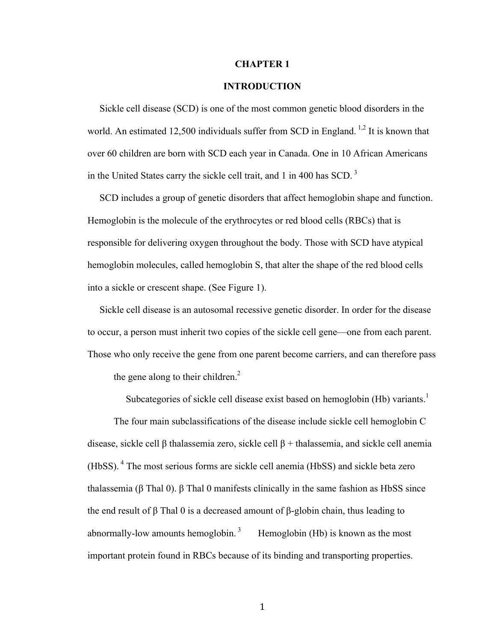#### **CHAPTER 1**

### **INTRODUCTION**

 Sickle cell disease (SCD) is one of the most common genetic blood disorders in the world. An estimated 12,500 individuals suffer from SCD in England.<sup>1,2</sup> It is known that over 60 children are born with SCD each year in Canada. One in 10 African Americans in the United States carry the sickle cell trait, and 1 in 400 has SCD. <sup>3</sup>

 SCD includes a group of genetic disorders that affect hemoglobin shape and function. Hemoglobin is the molecule of the erythrocytes or red blood cells (RBCs) that is responsible for delivering oxygen throughout the body. Those with SCD have atypical hemoglobin molecules, called hemoglobin S, that alter the shape of the red blood cells into a sickle or crescent shape. (See Figure 1).

 Sickle cell disease is an autosomal recessive genetic disorder. In order for the disease to occur, a person must inherit two copies of the sickle cell gene—one from each parent. Those who only receive the gene from one parent become carriers, and can therefore pass the gene along to their children.<sup>2</sup>

Subcategories of sickle cell disease exist based on hemoglobin (Hb) variants.<sup>1</sup>

The four main subclassifications of the disease include sickle cell hemoglobin C disease, sickle cell β thalassemia zero, sickle cell β + thalassemia, and sickle cell anemia (HbSS). <sup>4</sup> The most serious forms are sickle cell anemia (HbSS) and sickle beta zero thalassemia (β Thal 0). β Thal 0 manifests clinically in the same fashion as HbSS since the end result of β Thal 0 is a decreased amount of β-globin chain, thus leading to abnormally-low amounts hemoglobin. <sup>3</sup> Hemoglobin (Hb) is known as the most important protein found in RBCs because of its binding and transporting properties.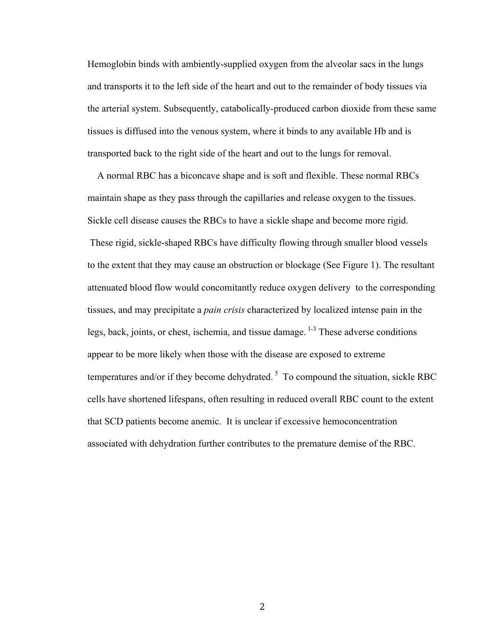Hemoglobin binds with ambiently-supplied oxygen from the alveolar sacs in the lungs and transports it to the left side of the heart and out to the remainder of body tissues via the arterial system. Subsequently, catabolically-produced carbon dioxide from these same tissues is diffused into the venous system, where it binds to any available Hb and is transported back to the right side of the heart and out to the lungs for removal.

 A normal RBC has a biconcave shape and is soft and flexible. These normal RBCs maintain shape as they pass through the capillaries and release oxygen to the tissues. Sickle cell disease causes the RBCs to have a sickle shape and become more rigid. These rigid, sickle-shaped RBCs have difficulty flowing through smaller blood vessels to the extent that they may cause an obstruction or blockage (See Figure 1). The resultant attenuated blood flow would concomitantly reduce oxygen delivery to the corresponding tissues, and may precipitate a *pain crisis* characterized by localized intense pain in the legs, back, joints, or chest, ischemia, and tissue damage.  $1-3$  These adverse conditions appear to be more likely when those with the disease are exposed to extreme temperatures and/or if they become dehydrated.<sup>5</sup> To compound the situation, sickle RBC cells have shortened lifespans, often resulting in reduced overall RBC count to the extent that SCD patients become anemic. It is unclear if excessive hemoconcentration associated with dehydration further contributes to the premature demise of the RBC.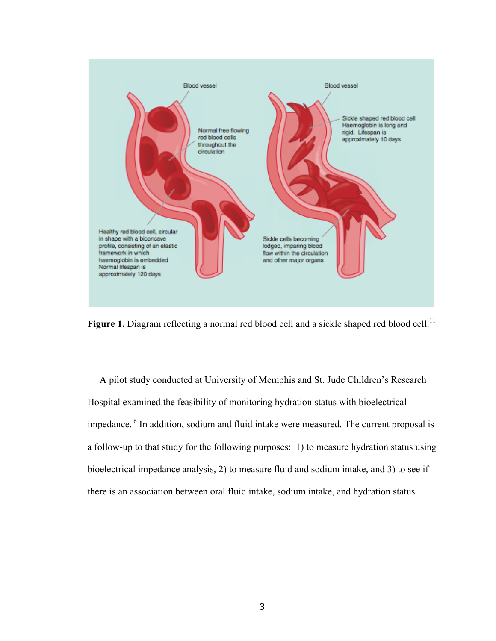

Figure 1. Diagram reflecting a normal red blood cell and a sickle shaped red blood cell.<sup>11</sup>

 A pilot study conducted at University of Memphis and St. Jude Children's Research Hospital examined the feasibility of monitoring hydration status with bioelectrical impedance. <sup>6</sup> In addition, sodium and fluid intake were measured. The current proposal is a follow-up to that study for the following purposes: 1) to measure hydration status using bioelectrical impedance analysis, 2) to measure fluid and sodium intake, and 3) to see if there is an association between oral fluid intake, sodium intake, and hydration status.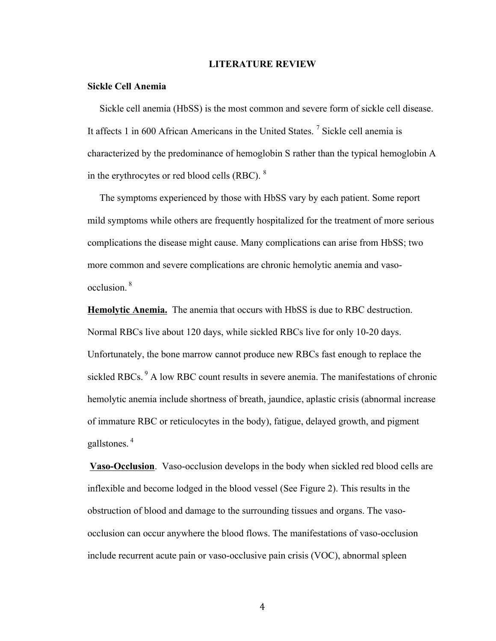#### **LITERATURE REVIEW**

#### **Sickle Cell Anemia**

 Sickle cell anemia (HbSS) is the most common and severe form of sickle cell disease. It affects 1 in 600 African Americans in the United States.<sup>7</sup> Sickle cell anemia is characterized by the predominance of hemoglobin S rather than the typical hemoglobin A in the erythrocytes or red blood cells (RBC). <sup>8</sup>

 The symptoms experienced by those with HbSS vary by each patient. Some report mild symptoms while others are frequently hospitalized for the treatment of more serious complications the disease might cause. Many complications can arise from HbSS; two more common and severe complications are chronic hemolytic anemia and vasoocclusion. <sup>8</sup>

**Hemolytic Anemia.** The anemia that occurs with HbSS is due to RBC destruction. Normal RBCs live about 120 days, while sickled RBCs live for only 10-20 days. Unfortunately, the bone marrow cannot produce new RBCs fast enough to replace the sickled RBCs.<sup>9</sup> A low RBC count results in severe anemia. The manifestations of chronic hemolytic anemia include shortness of breath, jaundice, aplastic crisis (abnormal increase of immature RBC or reticulocytes in the body), fatigue, delayed growth, and pigment gallstones. <sup>4</sup>

**Vaso-Occlusion**. Vaso-occlusion develops in the body when sickled red blood cells are inflexible and become lodged in the blood vessel (See Figure 2). This results in the obstruction of blood and damage to the surrounding tissues and organs. The vasoocclusion can occur anywhere the blood flows. The manifestations of vaso-occlusion include recurrent acute pain or vaso-occlusive pain crisis (VOC), abnormal spleen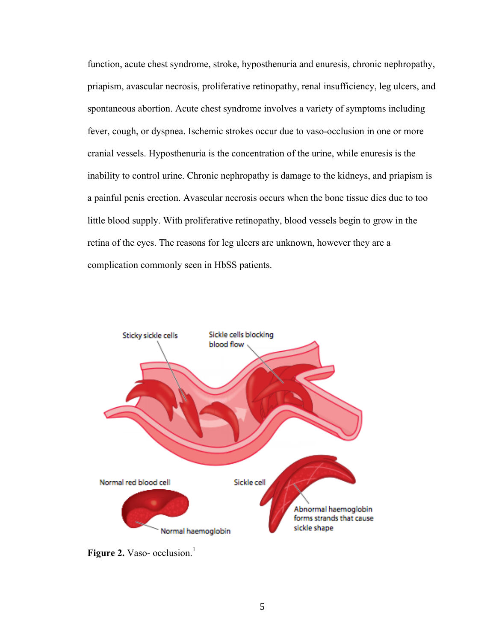function, acute chest syndrome, stroke, hyposthenuria and enuresis, chronic nephropathy, priapism, avascular necrosis, proliferative retinopathy, renal insufficiency, leg ulcers, and spontaneous abortion. Acute chest syndrome involves a variety of symptoms including fever, cough, or dyspnea. Ischemic strokes occur due to vaso-occlusion in one or more cranial vessels. Hyposthenuria is the concentration of the urine, while enuresis is the inability to control urine. Chronic nephropathy is damage to the kidneys, and priapism is a painful penis erection. Avascular necrosis occurs when the bone tissue dies due to too little blood supply. With proliferative retinopathy, blood vessels begin to grow in the retina of the eyes. The reasons for leg ulcers are unknown, however they are a complication commonly seen in HbSS patients.



Figure 2. Vaso- occlusion.<sup>1</sup>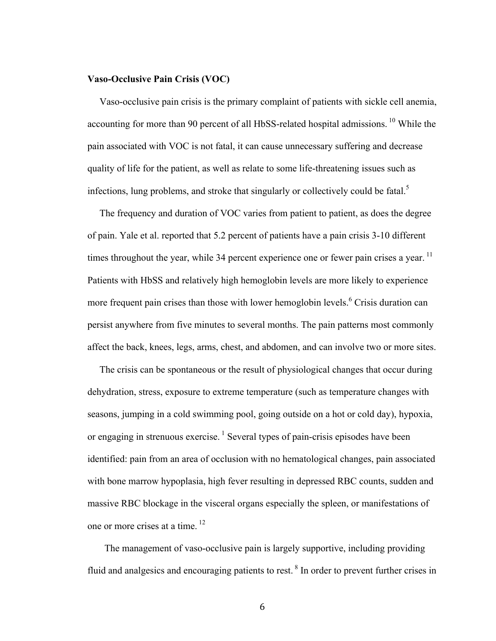#### **Vaso-Occlusive Pain Crisis (VOC)**

Vaso-occlusive pain crisis is the primary complaint of patients with sickle cell anemia, accounting for more than 90 percent of all HbSS-related hospital admissions.<sup>10</sup> While the pain associated with VOC is not fatal, it can cause unnecessary suffering and decrease quality of life for the patient, as well as relate to some life-threatening issues such as infections, lung problems, and stroke that singularly or collectively could be fatal.<sup>5</sup>

 The frequency and duration of VOC varies from patient to patient, as does the degree of pain. Yale et al. reported that 5.2 percent of patients have a pain crisis 3-10 different times throughout the year, while 34 percent experience one or fewer pain crises a year.<sup>11</sup> Patients with HbSS and relatively high hemoglobin levels are more likely to experience more frequent pain crises than those with lower hemoglobin levels.<sup>6</sup> Crisis duration can persist anywhere from five minutes to several months. The pain patterns most commonly affect the back, knees, legs, arms, chest, and abdomen, and can involve two or more sites.

 The crisis can be spontaneous or the result of physiological changes that occur during dehydration, stress, exposure to extreme temperature (such as temperature changes with seasons, jumping in a cold swimming pool, going outside on a hot or cold day), hypoxia, or engaging in strenuous exercise.<sup>1</sup> Several types of pain-crisis episodes have been identified: pain from an area of occlusion with no hematological changes, pain associated with bone marrow hypoplasia, high fever resulting in depressed RBC counts, sudden and massive RBC blockage in the visceral organs especially the spleen, or manifestations of one or more crises at a time.<sup>12</sup>

 The management of vaso-occlusive pain is largely supportive, including providing fluid and analgesics and encouraging patients to rest. <sup>8</sup> In order to prevent further crises in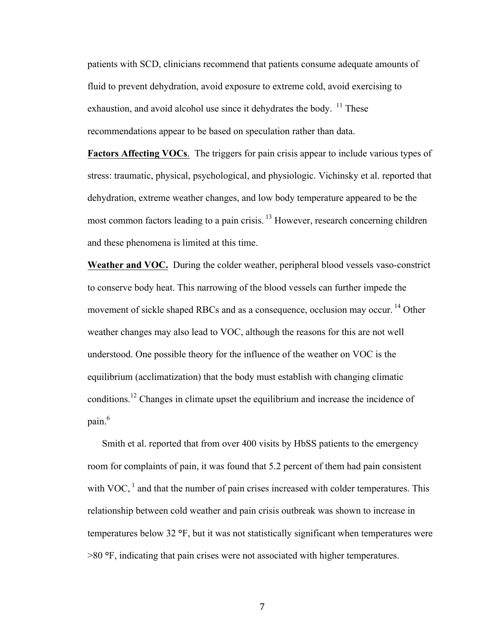patients with SCD, clinicians recommend that patients consume adequate amounts of fluid to prevent dehydration, avoid exposure to extreme cold, avoid exercising to exhaustion, and avoid alcohol use since it dehydrates the body.  $^{11}$  These recommendations appear to be based on speculation rather than data.

**Factors Affecting VOCs**. The triggers for pain crisis appear to include various types of stress: traumatic, physical, psychological, and physiologic. Vichinsky et al. reported that dehydration, extreme weather changes, and low body temperature appeared to be the most common factors leading to a pain crisis.<sup>13</sup> However, research concerning children and these phenomena is limited at this time.

**Weather and VOC.** During the colder weather, peripheral blood vessels vaso-constrict to conserve body heat. This narrowing of the blood vessels can further impede the movement of sickle shaped RBCs and as a consequence, occlusion may occur.<sup>14</sup> Other weather changes may also lead to VOC, although the reasons for this are not well understood. One possible theory for the influence of the weather on VOC is the equilibrium (acclimatization) that the body must establish with changing climatic conditions.<sup>12</sup> Changes in climate upset the equilibrium and increase the incidence of pain.<sup>6</sup>

 Smith et al. reported that from over 400 visits by HbSS patients to the emergency room for complaints of pain, it was found that 5.2 percent of them had pain consistent with VOC,  $<sup>1</sup>$  and that the number of pain crises increased with colder temperatures. This</sup> relationship between cold weather and pain crisis outbreak was shown to increase in temperatures below 32 **°**F, but it was not statistically significant when temperatures were >80 **°**F, indicating that pain crises were not associated with higher temperatures.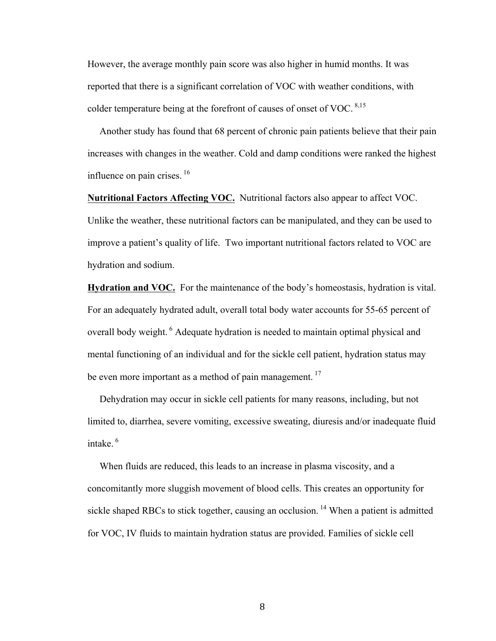However, the average monthly pain score was also higher in humid months. It was reported that there is a significant correlation of VOC with weather conditions, with colder temperature being at the forefront of causes of onset of VOC.  $8,15$ 

 Another study has found that 68 percent of chronic pain patients believe that their pain increases with changes in the weather. Cold and damp conditions were ranked the highest influence on pain crises. 16

**Nutritional Factors Affecting VOC.** Nutritional factors also appear to affect VOC.

Unlike the weather, these nutritional factors can be manipulated, and they can be used to improve a patient's quality of life. Two important nutritional factors related to VOC are hydration and sodium.

**Hydration and VOC.** For the maintenance of the body's homeostasis, hydration is vital. For an adequately hydrated adult, overall total body water accounts for 55-65 percent of overall body weight. <sup>6</sup> Adequate hydration is needed to maintain optimal physical and mental functioning of an individual and for the sickle cell patient, hydration status may be even more important as a method of pain management.<sup>17</sup>

 Dehydration may occur in sickle cell patients for many reasons, including, but not limited to, diarrhea, severe vomiting, excessive sweating, diuresis and/or inadequate fluid intake. <sup>6</sup>

 When fluids are reduced, this leads to an increase in plasma viscosity, and a concomitantly more sluggish movement of blood cells. This creates an opportunity for sickle shaped RBCs to stick together, causing an occlusion.<sup>14</sup> When a patient is admitted for VOC, IV fluids to maintain hydration status are provided. Families of sickle cell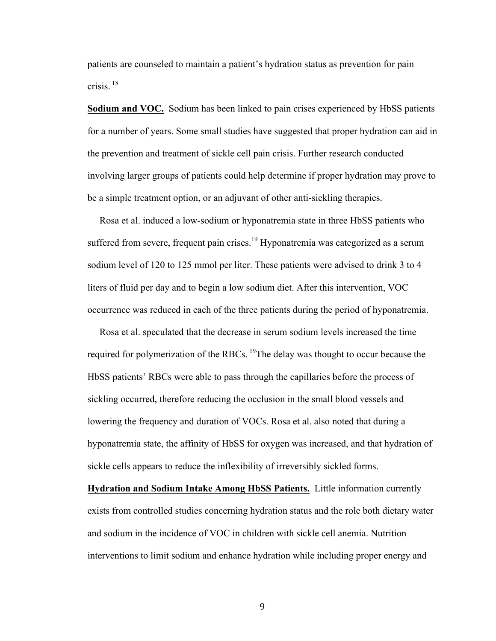patients are counseled to maintain a patient's hydration status as prevention for pain crisis. 18

**Sodium and VOC.** Sodium has been linked to pain crises experienced by HbSS patients for a number of years. Some small studies have suggested that proper hydration can aid in the prevention and treatment of sickle cell pain crisis. Further research conducted involving larger groups of patients could help determine if proper hydration may prove to be a simple treatment option, or an adjuvant of other anti-sickling therapies.

 Rosa et al. induced a low-sodium or hyponatremia state in three HbSS patients who suffered from severe, frequent pain crises.<sup>19</sup> Hyponatremia was categorized as a serum sodium level of 120 to 125 mmol per liter. These patients were advised to drink 3 to 4 liters of fluid per day and to begin a low sodium diet. After this intervention, VOC occurrence was reduced in each of the three patients during the period of hyponatremia.

 Rosa et al. speculated that the decrease in serum sodium levels increased the time required for polymerization of the RBCs. <sup>19</sup>The delay was thought to occur because the HbSS patients' RBCs were able to pass through the capillaries before the process of sickling occurred, therefore reducing the occlusion in the small blood vessels and lowering the frequency and duration of VOCs. Rosa et al. also noted that during a hyponatremia state, the affinity of HbSS for oxygen was increased, and that hydration of sickle cells appears to reduce the inflexibility of irreversibly sickled forms.

**Hydration and Sodium Intake Among HbSS Patients.** Little information currently exists from controlled studies concerning hydration status and the role both dietary water and sodium in the incidence of VOC in children with sickle cell anemia. Nutrition interventions to limit sodium and enhance hydration while including proper energy and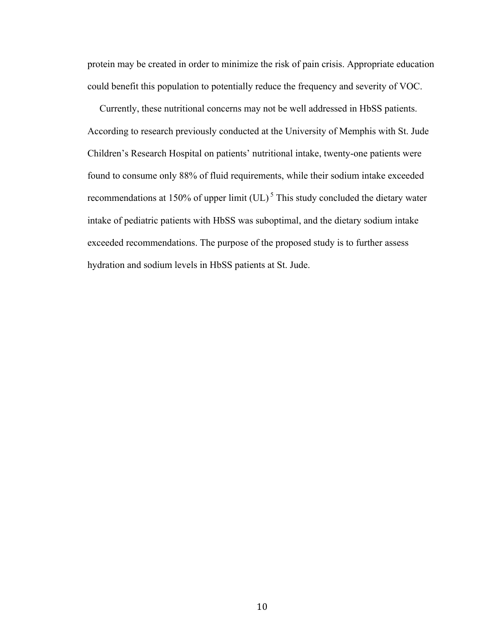protein may be created in order to minimize the risk of pain crisis. Appropriate education could benefit this population to potentially reduce the frequency and severity of VOC.

 Currently, these nutritional concerns may not be well addressed in HbSS patients. According to research previously conducted at the University of Memphis with St. Jude Children's Research Hospital on patients' nutritional intake, twenty-one patients were found to consume only 88% of fluid requirements, while their sodium intake exceeded recommendations at 150% of upper limit  $(UL)^5$  This study concluded the dietary water intake of pediatric patients with HbSS was suboptimal, and the dietary sodium intake exceeded recommendations. The purpose of the proposed study is to further assess hydration and sodium levels in HbSS patients at St. Jude.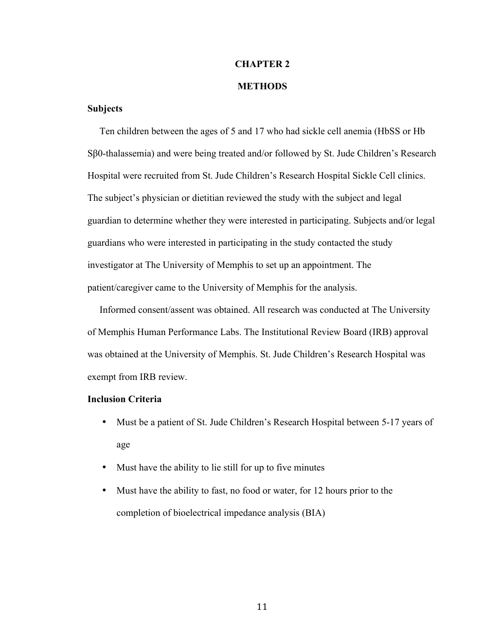#### **CHAPTER 2**

#### **METHODS**

### **Subjects**

 Ten children between the ages of 5 and 17 who had sickle cell anemia (HbSS or Hb Sβ0-thalassemia) and were being treated and/or followed by St. Jude Children's Research Hospital were recruited from St. Jude Children's Research Hospital Sickle Cell clinics. The subject's physician or dietitian reviewed the study with the subject and legal guardian to determine whether they were interested in participating. Subjects and/or legal guardians who were interested in participating in the study contacted the study investigator at The University of Memphis to set up an appointment. The patient/caregiver came to the University of Memphis for the analysis.

 Informed consent/assent was obtained. All research was conducted at The University of Memphis Human Performance Labs. The Institutional Review Board (IRB) approval was obtained at the University of Memphis. St. Jude Children's Research Hospital was exempt from IRB review.

### **Inclusion Criteria**

- Must be a patient of St. Jude Children's Research Hospital between 5-17 years of age
- Must have the ability to lie still for up to five minutes
- Must have the ability to fast, no food or water, for 12 hours prior to the completion of bioelectrical impedance analysis (BIA)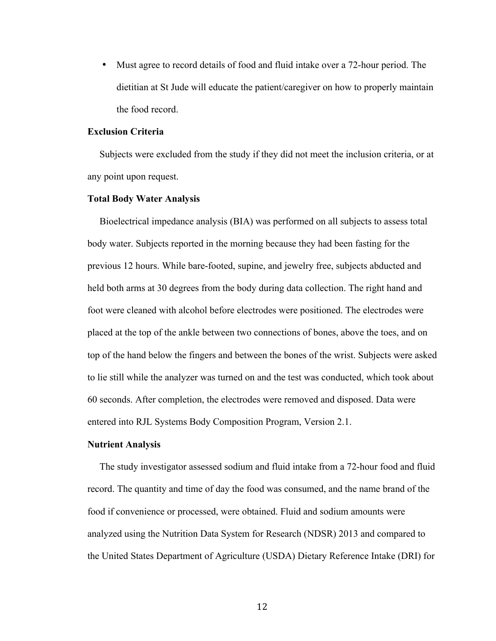• Must agree to record details of food and fluid intake over a 72-hour period. The dietitian at St Jude will educate the patient/caregiver on how to properly maintain the food record.

#### **Exclusion Criteria**

 Subjects were excluded from the study if they did not meet the inclusion criteria, or at any point upon request.

#### **Total Body Water Analysis**

 Bioelectrical impedance analysis (BIA) was performed on all subjects to assess total body water. Subjects reported in the morning because they had been fasting for the previous 12 hours. While bare-footed, supine, and jewelry free, subjects abducted and held both arms at 30 degrees from the body during data collection. The right hand and foot were cleaned with alcohol before electrodes were positioned. The electrodes were placed at the top of the ankle between two connections of bones, above the toes, and on top of the hand below the fingers and between the bones of the wrist. Subjects were asked to lie still while the analyzer was turned on and the test was conducted, which took about 60 seconds. After completion, the electrodes were removed and disposed. Data were entered into RJL Systems Body Composition Program, Version 2.1.

#### **Nutrient Analysis**

 The study investigator assessed sodium and fluid intake from a 72-hour food and fluid record. The quantity and time of day the food was consumed, and the name brand of the food if convenience or processed, were obtained. Fluid and sodium amounts were analyzed using the Nutrition Data System for Research (NDSR) 2013 and compared to the United States Department of Agriculture (USDA) Dietary Reference Intake (DRI) for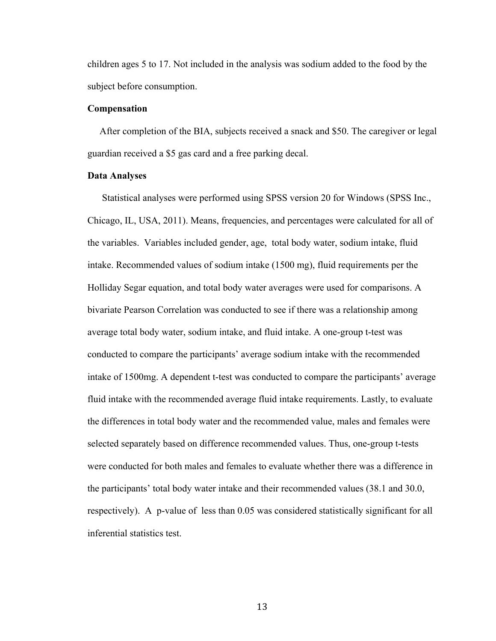children ages 5 to 17. Not included in the analysis was sodium added to the food by the subject before consumption.

#### **Compensation**

 After completion of the BIA, subjects received a snack and \$50. The caregiver or legal guardian received a \$5 gas card and a free parking decal.

#### **Data Analyses**

 Statistical analyses were performed using SPSS version 20 for Windows (SPSS Inc., Chicago, IL, USA, 2011). Means, frequencies, and percentages were calculated for all of the variables. Variables included gender, age, total body water, sodium intake, fluid intake. Recommended values of sodium intake (1500 mg), fluid requirements per the Holliday Segar equation, and total body water averages were used for comparisons. A bivariate Pearson Correlation was conducted to see if there was a relationship among average total body water, sodium intake, and fluid intake. A one-group t-test was conducted to compare the participants' average sodium intake with the recommended intake of 1500mg. A dependent t-test was conducted to compare the participants' average fluid intake with the recommended average fluid intake requirements. Lastly, to evaluate the differences in total body water and the recommended value, males and females were selected separately based on difference recommended values. Thus, one-group t-tests were conducted for both males and females to evaluate whether there was a difference in the participants' total body water intake and their recommended values (38.1 and 30.0, respectively). A p-value of less than 0.05 was considered statistically significant for all inferential statistics test.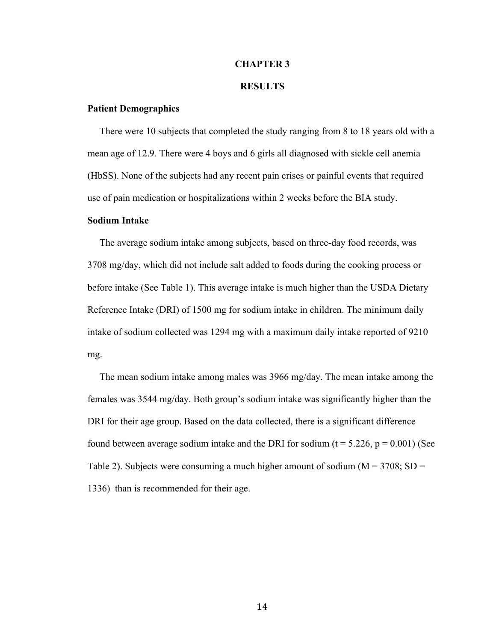#### **CHAPTER 3**

#### **RESULTS**

#### **Patient Demographics**

 There were 10 subjects that completed the study ranging from 8 to 18 years old with a mean age of 12.9. There were 4 boys and 6 girls all diagnosed with sickle cell anemia (HbSS). None of the subjects had any recent pain crises or painful events that required use of pain medication or hospitalizations within 2 weeks before the BIA study.

#### **Sodium Intake**

 The average sodium intake among subjects, based on three-day food records, was 3708 mg/day, which did not include salt added to foods during the cooking process or before intake (See Table 1). This average intake is much higher than the USDA Dietary Reference Intake (DRI) of 1500 mg for sodium intake in children. The minimum daily intake of sodium collected was 1294 mg with a maximum daily intake reported of 9210 mg.

 The mean sodium intake among males was 3966 mg/day. The mean intake among the females was 3544 mg/day. Both group's sodium intake was significantly higher than the DRI for their age group. Based on the data collected, there is a significant difference found between average sodium intake and the DRI for sodium ( $t = 5.226$ ,  $p = 0.001$ ) (See Table 2). Subjects were consuming a much higher amount of sodium ( $M = 3708$ ; SD = 1336) than is recommended for their age.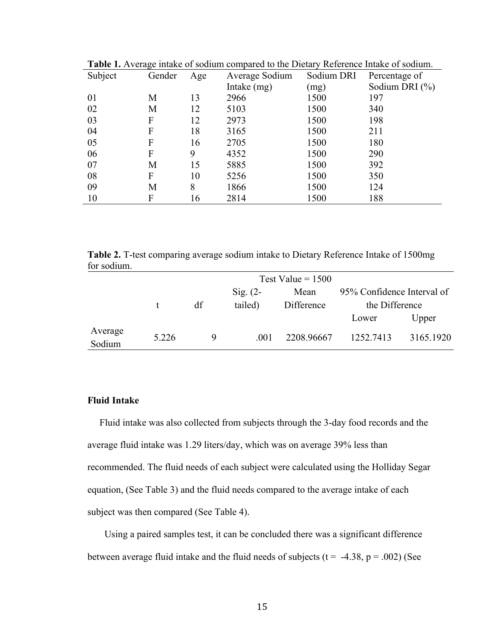| <b>Table 1.</b> Average miane of sourant compared to the Dictary Neterchec miane of sourant. |        |     |                |            |                    |
|----------------------------------------------------------------------------------------------|--------|-----|----------------|------------|--------------------|
| Subject                                                                                      | Gender | Age | Average Sodium | Sodium DRI | Percentage of      |
|                                                                                              |        |     | Intake (mg)    | (mg)       | Sodium DRI $(\% )$ |
| 01                                                                                           | M      | 13  | 2966           | 1500       | 197                |
| 02                                                                                           | M      | 12  | 5103           | 1500       | 340                |
| 03                                                                                           | F      | 12  | 2973           | 1500       | 198                |
| 04                                                                                           | F      | 18  | 3165           | 1500       | 211                |
| 05                                                                                           | F      | 16  | 2705           | 1500       | 180                |
| 06                                                                                           | F      | 9   | 4352           | 1500       | 290                |
| 07                                                                                           | M      | 15  | 5885           | 1500       | 392                |
| 08                                                                                           | F      | 10  | 5256           | 1500       | 350                |
| 09                                                                                           | M      | 8   | 1866           | 1500       | 124                |
| 10                                                                                           | F      | 16  | 2814           | 1500       | 188                |

**Table 1.** Average intake of sodium compared to the Dietary Reference Intake of sodium.

**Table 2.** T-test comparing average sodium intake to Dietary Reference Intake of 1500mg for sodium.

|                   |       | Test Value = $1500$ |            |            |                            |           |  |  |
|-------------------|-------|---------------------|------------|------------|----------------------------|-----------|--|--|
|                   |       |                     | $Sig. (2-$ | Mean       | 95% Confidence Interval of |           |  |  |
|                   |       | df                  | tailed)    | Difference | the Difference             |           |  |  |
|                   |       |                     |            |            | Lower                      | Upper     |  |  |
| Average<br>Sodium | 5.226 | Q                   | .001       | 2208.96667 | 1252.7413                  | 3165.1920 |  |  |

### **Fluid Intake**

 Fluid intake was also collected from subjects through the 3-day food records and the average fluid intake was 1.29 liters/day, which was on average 39% less than recommended. The fluid needs of each subject were calculated using the Holliday Segar equation, (See Table 3) and the fluid needs compared to the average intake of each subject was then compared (See Table 4).

 Using a paired samples test, it can be concluded there was a significant difference between average fluid intake and the fluid needs of subjects ( $t = -4.38$ ,  $p = .002$ ) (See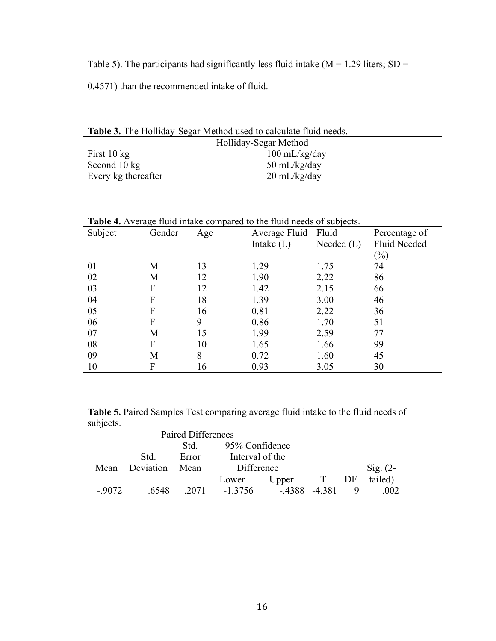Table 5). The participants had significantly less fluid intake ( $M = 1.29$  liters; SD =

0.4571) than the recommended intake of fluid.

| <b>Table 3.</b> The Holliday-Segar Method used to calculate fluid needs. |                         |  |  |  |  |
|--------------------------------------------------------------------------|-------------------------|--|--|--|--|
| Holliday-Segar Method                                                    |                         |  |  |  |  |
| First $10 \text{ kg}$                                                    | $100 \text{ mL/kg/day}$ |  |  |  |  |
| Second 10 kg                                                             | 50 mL/kg/day            |  |  |  |  |
| Every kg thereafter                                                      | $20 \text{ mL/kg/day}$  |  |  |  |  |

| <b>Table 4.</b> Average fluid intake compared to the fluid needs of subjects. |        |     |               |              |                     |  |  |
|-------------------------------------------------------------------------------|--------|-----|---------------|--------------|---------------------|--|--|
| Subject                                                                       | Gender | Age | Average Fluid | Fluid        | Percentage of       |  |  |
|                                                                               |        |     | Intake $(L)$  | Needed $(L)$ | <b>Fluid Needed</b> |  |  |
|                                                                               |        |     |               |              | (%)                 |  |  |
| 01                                                                            | М      | 13  | 1.29          | 1.75         | 74                  |  |  |
| 02                                                                            | М      | 12  | 1.90          | 2.22         | 86                  |  |  |
| 03                                                                            | F      | 12  | 1.42          | 2.15         | 66                  |  |  |
| 04                                                                            | F      | 18  | 1.39          | 3.00         | 46                  |  |  |
| 05                                                                            | F      | 16  | 0.81          | 2.22         | 36                  |  |  |
| 06                                                                            | F      | 9   | 0.86          | 1.70         | 51                  |  |  |
| 07                                                                            | М      | 15  | 1.99          | 2.59         | 77                  |  |  |
| 08                                                                            | F      | 10  | 1.65          | 1.66         | 99                  |  |  |
| 09                                                                            | М      | 8   | 0.72          | 1.60         | 45                  |  |  |
| 10                                                                            | F      | 16  | 0.93          | 3.05         | 30                  |  |  |

**Table 5.** Paired Samples Test comparing average fluid intake to the fluid needs of subjects.

|         |           | Paired Differences |                 |        |       |    |                     |
|---------|-----------|--------------------|-----------------|--------|-------|----|---------------------|
|         |           | Std.               | 95% Confidence  |        |       |    |                     |
|         | Std.      | Error              | Interval of the |        |       |    |                     |
| Mean    | Deviation | Mean               | Difference      |        |       |    | $\mathrm{Sig.}$ (2- |
|         |           |                    | Lower           | Upper  | T     | DF | tailed)             |
| $-9072$ | 6548      | 2071               | -1 3756         | - 4388 | -4381 | 9  |                     |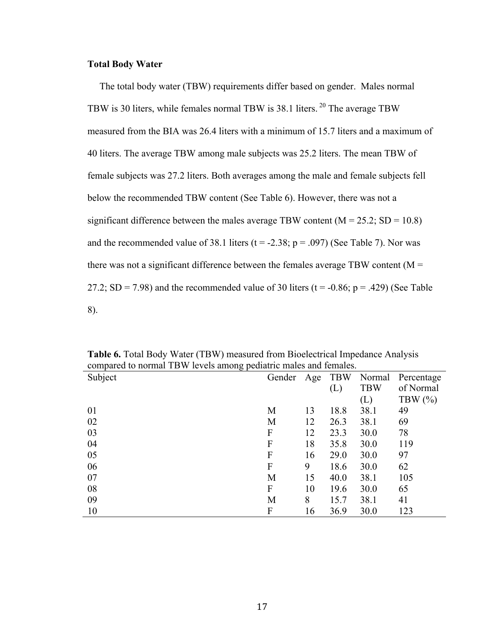#### **Total Body Water**

 The total body water (TBW) requirements differ based on gender. Males normal TBW is 30 liters, while females normal TBW is 38.1 liters. <sup>20</sup> The average TBW measured from the BIA was 26.4 liters with a minimum of 15.7 liters and a maximum of 40 liters. The average TBW among male subjects was 25.2 liters. The mean TBW of female subjects was 27.2 liters. Both averages among the male and female subjects fell below the recommended TBW content (See Table 6). However, there was not a significant difference between the males average TBW content  $(M = 25.2; SD = 10.8)$ and the recommended value of 38.1 liters ( $t = -2.38$ ;  $p = .097$ ) (See Table 7). Nor was there was not a significant difference between the females average TBW content ( $M =$ 27.2; SD = 7.98) and the recommended value of 30 liters ( $t = -0.86$ ;  $p = .429$ ) (See Table 8).

| compared to normal 1 B w revers among pediatric males and remales. |        |     |            |            |            |
|--------------------------------------------------------------------|--------|-----|------------|------------|------------|
| Subject                                                            | Gender | Age | <b>TBW</b> | Normal     | Percentage |
|                                                                    |        |     | (L)        | <b>TBW</b> | of Normal  |
|                                                                    |        |     |            | (L)        | TBW $(\%)$ |
| 01                                                                 | M      | 13  | 18.8       | 38.1       | 49         |
| 02                                                                 | M      | 12  | 26.3       | 38.1       | 69         |
| 03                                                                 | F      | 12  | 23.3       | 30.0       | 78         |
| 04                                                                 | F      | 18  | 35.8       | 30.0       | 119        |
| 05                                                                 | F      | 16  | 29.0       | 30.0       | 97         |
| 06                                                                 | F      | 9   | 18.6       | 30.0       | 62         |
| 07                                                                 | M      | 15  | 40.0       | 38.1       | 105        |
| 08                                                                 | F      | 10  | 19.6       | 30.0       | 65         |
| 09                                                                 | M      | 8   | 15.7       | 38.1       | 41         |
| 10                                                                 | F      | 16  | 36.9       | 30.0       | 123        |

**Table 6.** Total Body Water (TBW) measured from Bioelectrical Impedance Analysis compared to normal TBW levels among pediatric males and females.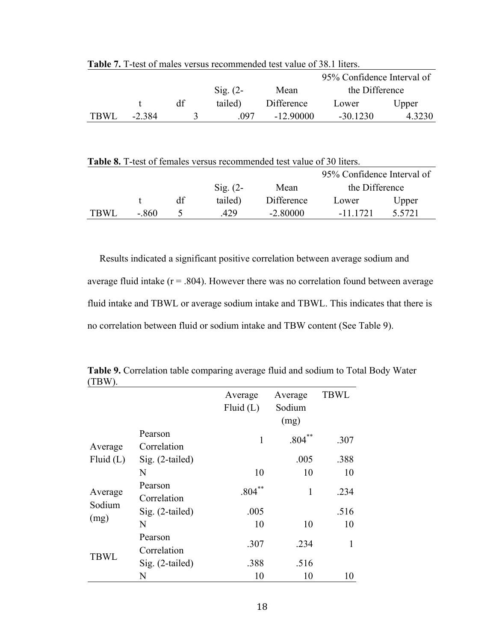|      |        |    |                   |            | 95% Confidence Interval of |        |  |
|------|--------|----|-------------------|------------|----------------------------|--------|--|
|      |        |    | $\text{Sig.}$ (2- | Mean       | the Difference             |        |  |
|      |        | df | tailed)           | Difference | Lower                      | Upper  |  |
| TBWL | -2 384 |    | 097               | $-1290000$ | $-30.1230$                 | 4.3230 |  |

**Table 7.** T-test of males versus recommended test value of 38.1 liters.

| <b>Table 8.</b> T-test of females versus recommended test value of 30 liters. |       |    |                     |            |                |           |  |  |
|-------------------------------------------------------------------------------|-------|----|---------------------|------------|----------------|-----------|--|--|
| 95% Confidence Interval of                                                    |       |    |                     |            |                |           |  |  |
|                                                                               |       |    | $\mathrm{Sig.}$ (2- | Mean       | the Difference |           |  |  |
|                                                                               |       | df | tailed)             | Difference | Lower          | Upper     |  |  |
| <b>TBWL</b>                                                                   | - 860 |    | 429                 | $-2.80000$ | -11 1721       | 5 5 7 2 1 |  |  |

 Results indicated a significant positive correlation between average sodium and average fluid intake  $(r = .804)$ . However there was no correlation found between average fluid intake and TBWL or average sodium intake and TBWL. This indicates that there is no correlation between fluid or sodium intake and TBW content (See Table 9).

| $(11)$ W, $)$ . |                        |                        |                           |             |
|-----------------|------------------------|------------------------|---------------------------|-------------|
|                 |                        | Average<br>Fluid $(L)$ | Average<br>Sodium<br>(mg) | <b>TBWL</b> |
| Average         | Pearson<br>Correlation | 1                      | .804                      | .307        |
| Fluid $(L)$     | Sig. (2-tailed)        |                        | .005                      | .388        |
|                 | N                      | 10                     | 10                        | 10          |
| Average         | Pearson<br>Correlation | $***$<br>.804          | 1                         | .234        |
| Sodium          | Sig. (2-tailed)        | .005                   |                           | .516        |
| (mg)            | N                      | 10                     | 10                        | 10          |
| <b>TBWL</b>     | Pearson<br>Correlation | .307                   | .234                      | 1           |
|                 | Sig. (2-tailed)        | .388                   | .516                      |             |
|                 | N                      | 10                     | 10                        | 10          |

**Table 9.** Correlation table comparing average fluid and sodium to Total Body Water (TBW).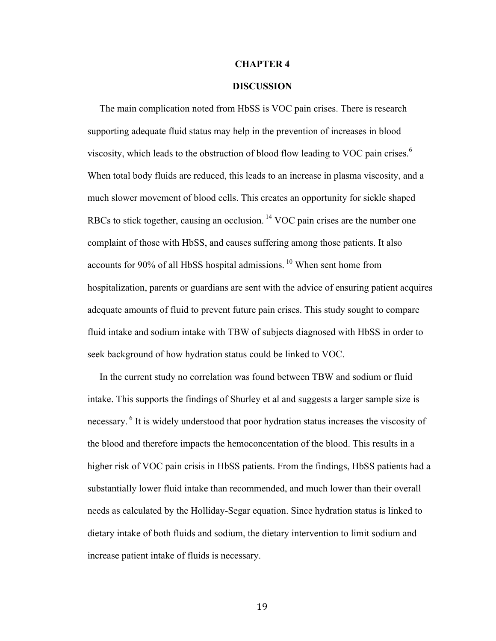#### **CHAPTER 4**

#### **DISCUSSION**

 The main complication noted from HbSS is VOC pain crises. There is research supporting adequate fluid status may help in the prevention of increases in blood viscosity, which leads to the obstruction of blood flow leading to VOC pain crises. $6\degree$ When total body fluids are reduced, this leads to an increase in plasma viscosity, and a much slower movement of blood cells. This creates an opportunity for sickle shaped RBCs to stick together, causing an occlusion.<sup>14</sup> VOC pain crises are the number one complaint of those with HbSS, and causes suffering among those patients. It also accounts for 90% of all HbSS hospital admissions. <sup>10</sup> When sent home from hospitalization, parents or guardians are sent with the advice of ensuring patient acquires adequate amounts of fluid to prevent future pain crises. This study sought to compare fluid intake and sodium intake with TBW of subjects diagnosed with HbSS in order to seek background of how hydration status could be linked to VOC.

 In the current study no correlation was found between TBW and sodium or fluid intake. This supports the findings of Shurley et al and suggests a larger sample size is necessary. <sup>6</sup> It is widely understood that poor hydration status increases the viscosity of the blood and therefore impacts the hemoconcentation of the blood. This results in a higher risk of VOC pain crisis in HbSS patients. From the findings, HbSS patients had a substantially lower fluid intake than recommended, and much lower than their overall needs as calculated by the Holliday-Segar equation. Since hydration status is linked to dietary intake of both fluids and sodium, the dietary intervention to limit sodium and increase patient intake of fluids is necessary.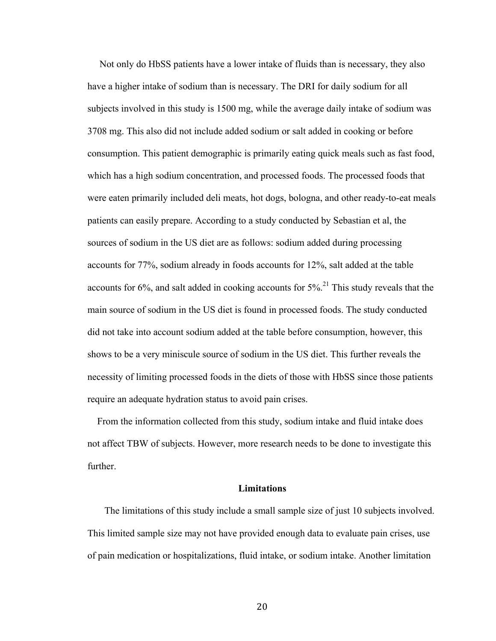Not only do HbSS patients have a lower intake of fluids than is necessary, they also have a higher intake of sodium than is necessary. The DRI for daily sodium for all subjects involved in this study is 1500 mg, while the average daily intake of sodium was 3708 mg. This also did not include added sodium or salt added in cooking or before consumption. This patient demographic is primarily eating quick meals such as fast food, which has a high sodium concentration, and processed foods. The processed foods that were eaten primarily included deli meats, hot dogs, bologna, and other ready-to-eat meals patients can easily prepare. According to a study conducted by Sebastian et al, the sources of sodium in the US diet are as follows: sodium added during processing accounts for 77%, sodium already in foods accounts for 12%, salt added at the table accounts for  $6\%$ , and salt added in cooking accounts for  $5\%$ <sup>21</sup>. This study reveals that the main source of sodium in the US diet is found in processed foods. The study conducted did not take into account sodium added at the table before consumption, however, this shows to be a very miniscule source of sodium in the US diet. This further reveals the necessity of limiting processed foods in the diets of those with HbSS since those patients require an adequate hydration status to avoid pain crises.

 From the information collected from this study, sodium intake and fluid intake does not affect TBW of subjects. However, more research needs to be done to investigate this further.

#### **Limitations**

 The limitations of this study include a small sample size of just 10 subjects involved. This limited sample size may not have provided enough data to evaluate pain crises, use of pain medication or hospitalizations, fluid intake, or sodium intake. Another limitation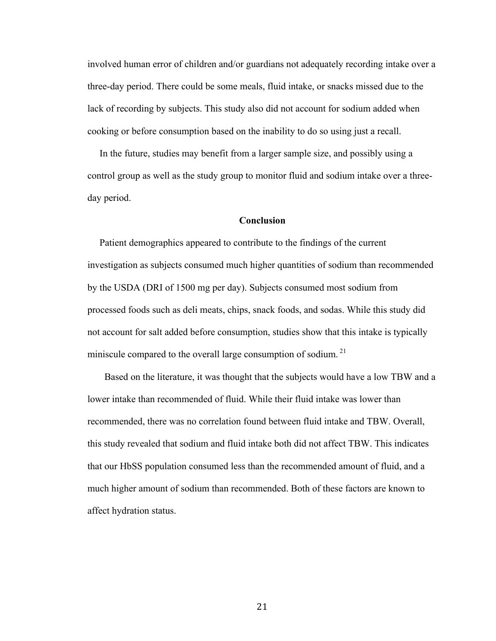involved human error of children and/or guardians not adequately recording intake over a three-day period. There could be some meals, fluid intake, or snacks missed due to the lack of recording by subjects. This study also did not account for sodium added when cooking or before consumption based on the inability to do so using just a recall.

 In the future, studies may benefit from a larger sample size, and possibly using a control group as well as the study group to monitor fluid and sodium intake over a threeday period.

#### **Conclusion**

 Patient demographics appeared to contribute to the findings of the current investigation as subjects consumed much higher quantities of sodium than recommended by the USDA (DRI of 1500 mg per day). Subjects consumed most sodium from processed foods such as deli meats, chips, snack foods, and sodas. While this study did not account for salt added before consumption, studies show that this intake is typically miniscule compared to the overall large consumption of sodium.<sup>21</sup>

 Based on the literature, it was thought that the subjects would have a low TBW and a lower intake than recommended of fluid. While their fluid intake was lower than recommended, there was no correlation found between fluid intake and TBW. Overall, this study revealed that sodium and fluid intake both did not affect TBW. This indicates that our HbSS population consumed less than the recommended amount of fluid, and a much higher amount of sodium than recommended. Both of these factors are known to affect hydration status.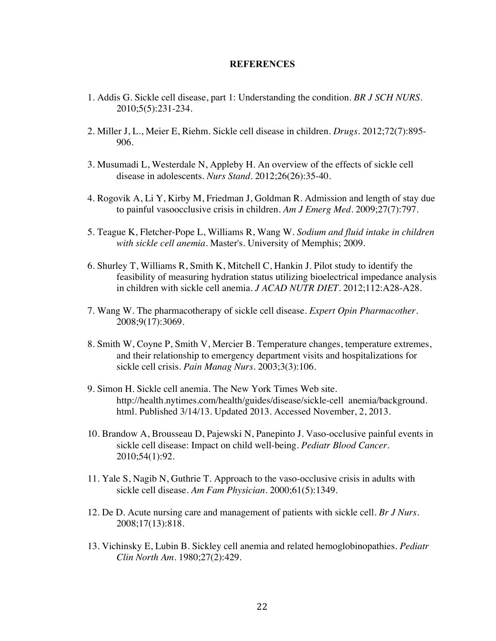#### **REFERENCES**

- 1. Addis G. Sickle cell disease, part 1: Understanding the condition. *BR J SCH NURS*. 2010;5(5):231-234.
- 2. Miller J, L., Meier E, Riehm. Sickle cell disease in children. *Drugs*. 2012;72(7):895- 906.
- 3. Musumadi L, Westerdale N, Appleby H. An overview of the effects of sickle cell disease in adolescents. *Nurs Stand*. 2012;26(26):35-40.
- 4. Rogovik A, Li Y, Kirby M, Friedman J, Goldman R. Admission and length of stay due to painful vasoocclusive crisis in children. *Am J Emerg Med*. 2009;27(7):797.
- 5. Teague K, Fletcher-Pope L, Williams R, Wang W. *Sodium and fluid intake in children with sickle cell anemia.* Master's. University of Memphis; 2009.
- 6. Shurley T, Williams R, Smith K, Mitchell C, Hankin J. Pilot study to identify the feasibility of measuring hydration status utilizing bioelectrical impedance analysis in children with sickle cell anemia. *J ACAD NUTR DIET*. 2012;112:A28-A28.
- 7. Wang W. The pharmacotherapy of sickle cell disease. *Expert Opin Pharmacother*. 2008;9(17):3069.
- 8. Smith W, Coyne P, Smith V, Mercier B. Temperature changes, temperature extremes, and their relationship to emergency department visits and hospitalizations for sickle cell crisis. *Pain Manag Nurs*. 2003;3(3):106.
- 9. Simon H. Sickle cell anemia. The New York Times Web site. http://health.nytimes.com/health/guides/disease/sickle-cell anemia/background. html. Published 3/14/13. Updated 2013. Accessed November, 2, 2013.
- 10. Brandow A, Brousseau D, Pajewski N, Panepinto J. Vaso-occlusive painful events in sickle cell disease: Impact on child well-being. *Pediatr Blood Cancer*. 2010;54(1):92.
- 11. Yale S, Nagib N, Guthrie T. Approach to the vaso-occlusive crisis in adults with sickle cell disease. *Am Fam Physician*. 2000;61(5):1349.
- 12. De D. Acute nursing care and management of patients with sickle cell. *Br J Nurs*. 2008;17(13):818.
- 13. Vichinsky E, Lubin B. Sickley cell anemia and related hemoglobinopathies. *Pediatr Clin North Am*. 1980;27(2):429.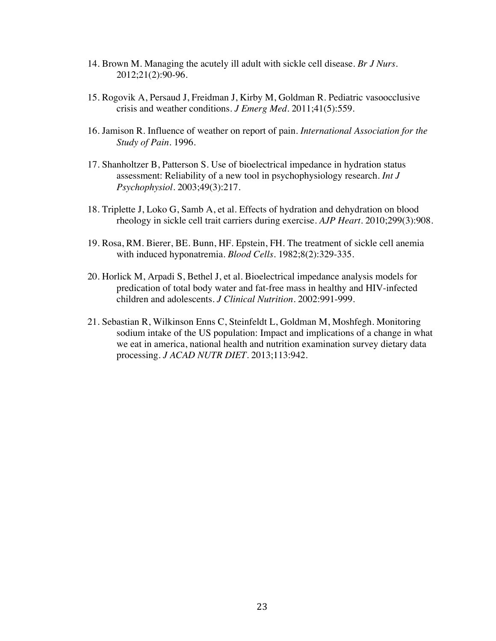- 14. Brown M. Managing the acutely ill adult with sickle cell disease. *Br J Nurs*. 2012;21(2):90-96.
- 15. Rogovik A, Persaud J, Freidman J, Kirby M, Goldman R. Pediatric vasoocclusive crisis and weather conditions. *J Emerg Med*. 2011;41(5):559.
- 16. Jamison R. Influence of weather on report of pain. *International Association for the Study of Pain*. 1996.
- 17. Shanholtzer B, Patterson S. Use of bioelectrical impedance in hydration status assessment: Reliability of a new tool in psychophysiology research. *Int J Psychophysiol*. 2003;49(3):217.
- 18. Triplette J, Loko G, Samb A, et al. Effects of hydration and dehydration on blood rheology in sickle cell trait carriers during exercise. *AJP Heart*. 2010;299(3):908.
- 19. Rosa, RM. Bierer, BE. Bunn, HF. Epstein, FH. The treatment of sickle cell anemia with induced hyponatremia. *Blood Cells*. 1982;8(2):329-335.
- 20. Horlick M, Arpadi S, Bethel J, et al. Bioelectrical impedance analysis models for predication of total body water and fat-free mass in healthy and HIV-infected children and adolescents. *J Clinical Nutrition*. 2002:991-999.
- 21. Sebastian R, Wilkinson Enns C, Steinfeldt L, Goldman M, Moshfegh. Monitoring sodium intake of the US population: Impact and implications of a change in what we eat in america, national health and nutrition examination survey dietary data processing. *J ACAD NUTR DIET*. 2013;113:942.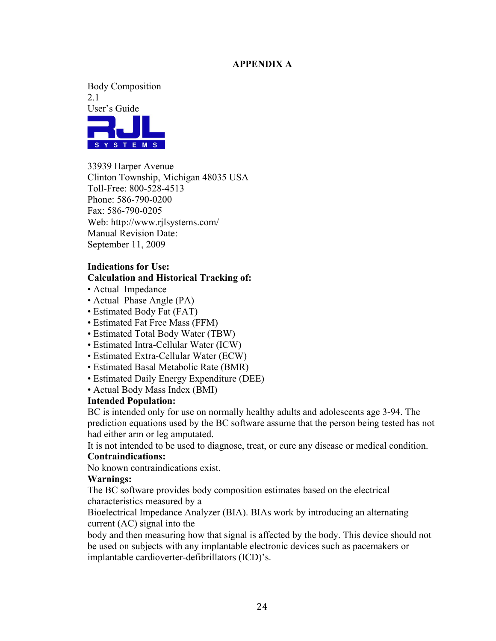### **APPENDIX A**

Body Composition 2.1 User's Guide



33939 Harper Avenue Clinton Township, Michigan 48035 USA Toll-Free: 800-528-4513 Phone: 586-790-0200 Fax: 586-790-0205 Web: http://www.rjlsystems.com/ Manual Revision Date: September 11, 2009

### **Indications for Use:**

#### **Calculation and Historical Tracking of:**

- Actual Impedance
- Actual Phase Angle (PA)
- Estimated Body Fat (FAT)
- Estimated Fat Free Mass (FFM)
- Estimated Total Body Water (TBW)
- Estimated Intra-Cellular Water (ICW)
- Estimated Extra-Cellular Water (ECW)
- Estimated Basal Metabolic Rate (BMR)
- Estimated Daily Energy Expenditure (DEE)
- Actual Body Mass Index (BMI)

#### **Intended Population:**

BC is intended only for use on normally healthy adults and adolescents age 3-94. The prediction equations used by the BC software assume that the person being tested has not had either arm or leg amputated.

It is not intended to be used to diagnose, treat, or cure any disease or medical condition.

# **Contraindications:**

No known contraindications exist.

#### **Warnings:**

The BC software provides body composition estimates based on the electrical characteristics measured by a

Bioelectrical Impedance Analyzer (BIA). BIAs work by introducing an alternating current (AC) signal into the

body and then measuring how that signal is affected by the body. This device should not be used on subjects with any implantable electronic devices such as pacemakers or implantable cardioverter-defibrillators (ICD)'s.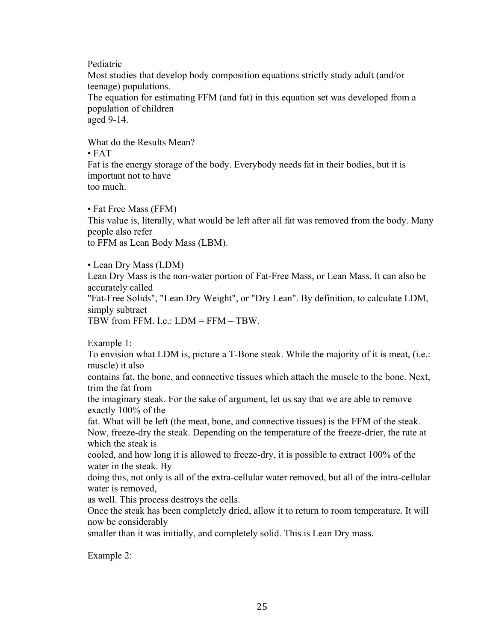Pediatric

Most studies that develop body composition equations strictly study adult (and/or teenage) populations.

The equation for estimating FFM (and fat) in this equation set was developed from a population of children

aged 9-14.

What do the Results Mean?

• FAT

Fat is the energy storage of the body. Everybody needs fat in their bodies, but it is important not to have too much.

• Fat Free Mass (FFM)

This value is, literally, what would be left after all fat was removed from the body. Many people also refer

to FFM as Lean Body Mass (LBM).

• Lean Dry Mass (LDM)

Lean Dry Mass is the non-water portion of Fat-Free Mass, or Lean Mass. It can also be accurately called

"Fat-Free Solids", "Lean Dry Weight", or "Dry Lean". By definition, to calculate LDM, simply subtract

TBW from FFM. I.e.: LDM = FFM – TBW.

Example 1:

To envision what LDM is, picture a T-Bone steak. While the majority of it is meat, (i.e.: muscle) it also

contains fat, the bone, and connective tissues which attach the muscle to the bone. Next, trim the fat from

the imaginary steak. For the sake of argument, let us say that we are able to remove exactly 100% of the

fat. What will be left (the meat, bone, and connective tissues) is the FFM of the steak. Now, freeze-dry the steak. Depending on the temperature of the freeze-drier, the rate at which the steak is

cooled, and how long it is allowed to freeze-dry, it is possible to extract 100% of the water in the steak. By

doing this, not only is all of the extra-cellular water removed, but all of the intra-cellular water is removed,

as well. This process destroys the cells.

Once the steak has been completely dried, allow it to return to room temperature. It will now be considerably

smaller than it was initially, and completely solid. This is Lean Dry mass.

Example 2: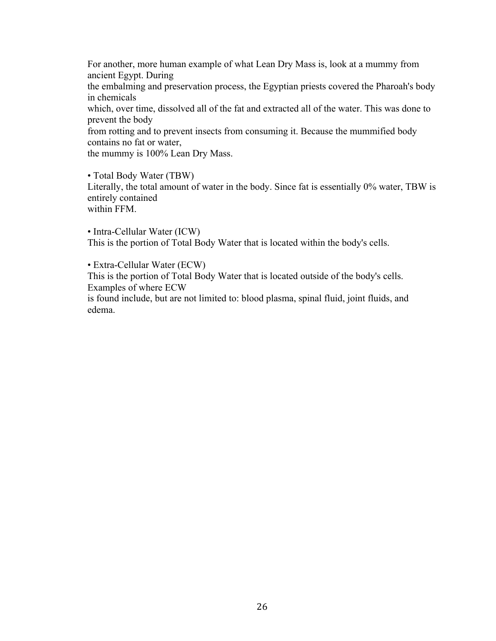For another, more human example of what Lean Dry Mass is, look at a mummy from ancient Egypt. During

the embalming and preservation process, the Egyptian priests covered the Pharoah's body in chemicals

which, over time, dissolved all of the fat and extracted all of the water. This was done to prevent the body

from rotting and to prevent insects from consuming it. Because the mummified body contains no fat or water,

the mummy is 100% Lean Dry Mass.

• Total Body Water (TBW)

Literally, the total amount of water in the body. Since fat is essentially 0% water, TBW is entirely contained

within FFM.

• Intra-Cellular Water (ICW) This is the portion of Total Body Water that is located within the body's cells.

• Extra-Cellular Water (ECW)

This is the portion of Total Body Water that is located outside of the body's cells. Examples of where ECW

is found include, but are not limited to: blood plasma, spinal fluid, joint fluids, and edema.